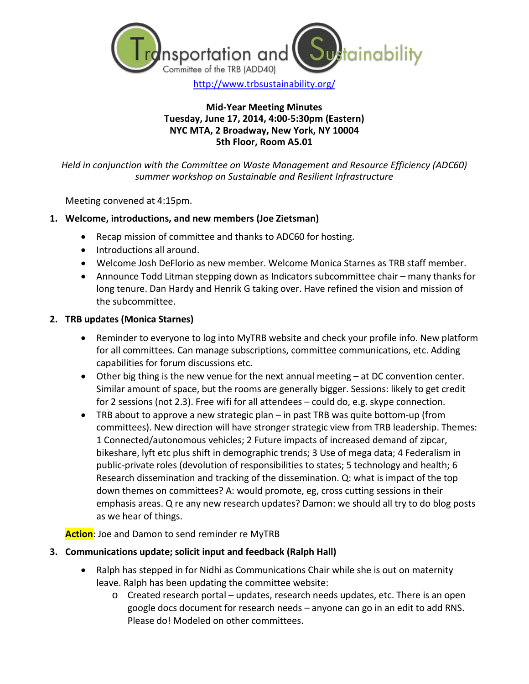

### **Mid-Year Meeting Minutes Tuesday, June 17, 2014, 4:00-5:30pm (Eastern) NYC MTA, 2 Broadway, New York, NY 10004 5th Floor, Room A5.01**

*Held in conjunction with the Committee on Waste Management and Resource Efficiency (ADC60) summer workshop on Sustainable and Resilient Infrastructure*

Meeting convened at 4:15pm.

## **1. Welcome, introductions, and new members (Joe Zietsman)**

- Recap mission of committee and thanks to ADC60 for hosting.
- Introductions all around.
- Welcome Josh DeFlorio as new member. Welcome Monica Starnes as TRB staff member.
- Announce Todd Litman stepping down as Indicators subcommittee chair many thanks for long tenure. Dan Hardy and Henrik G taking over. Have refined the vision and mission of the subcommittee.

## **2. TRB updates (Monica Starnes)**

- Reminder to everyone to log into MyTRB website and check your profile info. New platform for all committees. Can manage subscriptions, committee communications, etc. Adding capabilities for forum discussions etc.
- Other big thing is the new venue for the next annual meeting at DC convention center. Similar amount of space, but the rooms are generally bigger. Sessions: likely to get credit for 2 sessions (not 2.3). Free wifi for all attendees – could do, e.g. skype connection.
- TRB about to approve a new strategic plan in past TRB was quite bottom-up (from committees). New direction will have stronger strategic view from TRB leadership. Themes: 1 Connected/autonomous vehicles; 2 Future impacts of increased demand of zipcar, bikeshare, lyft etc plus shift in demographic trends; 3 Use of mega data; 4 Federalism in public-private roles (devolution of responsibilities to states; 5 technology and health; 6 Research dissemination and tracking of the dissemination. Q: what is impact of the top down themes on committees? A: would promote, eg, cross cutting sessions in their emphasis areas. Q re any new research updates? Damon: we should all try to do blog posts as we hear of things.

**Action**: Joe and Damon to send reminder re MyTRB

## **3. Communications update; solicit input and feedback (Ralph Hall)**

- Ralph has stepped in for Nidhi as Communications Chair while she is out on maternity leave. Ralph has been updating the committee website:
	- o Created research portal updates, research needs updates, etc. There is an open google docs document for research needs – anyone can go in an edit to add RNS. Please do! Modeled on other committees.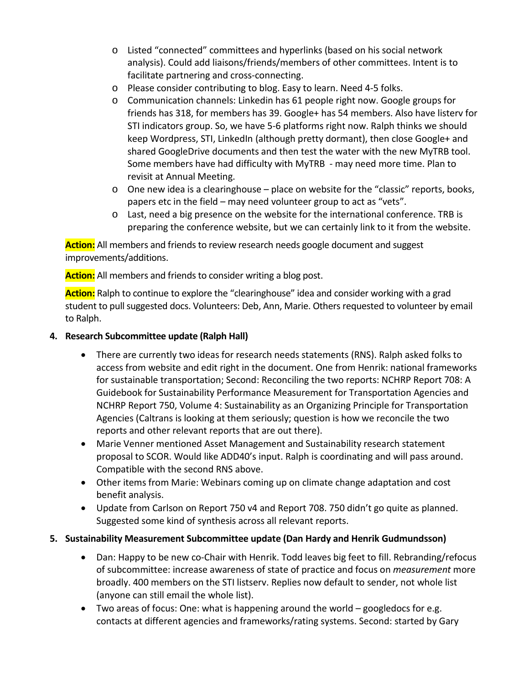- o Listed "connected" committees and hyperlinks (based on his social network analysis). Could add liaisons/friends/members of other committees. Intent is to facilitate partnering and cross-connecting.
- o Please consider contributing to blog. Easy to learn. Need 4-5 folks.
- o Communication channels: Linkedin has 61 people right now. Google groups for friends has 318, for members has 39. Google+ has 54 members. Also have listerv for STI indicators group. So, we have 5-6 platforms right now. Ralph thinks we should keep Wordpress, STI, LinkedIn (although pretty dormant), then close Google+ and shared GoogleDrive documents and then test the water with the new MyTRB tool. Some members have had difficulty with MyTRB - may need more time. Plan to revisit at Annual Meeting.
- o One new idea is a clearinghouse place on website for the "classic" reports, books, papers etc in the field – may need volunteer group to act as "vets".
- $\circ$  Last, need a big presence on the website for the international conference. TRB is preparing the conference website, but we can certainly link to it from the website.

**Action:** All members and friends to review research needs google document and suggest improvements/additions.

**Action:** All members and friends to consider writing a blog post.

**Action:** Ralph to continue to explore the "clearinghouse" idea and consider working with a grad student to pull suggested docs. Volunteers: Deb, Ann, Marie. Others requested to volunteer by email to Ralph.

- **4. Research Subcommittee update (Ralph Hall)** 
	- There are currently two ideas for research needs statements (RNS). Ralph asked folks to access from website and edit right in the document. One from Henrik: national frameworks for sustainable transportation; Second: Reconciling the two reports: NCHRP Report 708: A Guidebook for Sustainability Performance Measurement for Transportation Agencies and NCHRP Report 750, Volume 4: Sustainability as an Organizing Principle for Transportation Agencies (Caltrans is looking at them seriously; question is how we reconcile the two reports and other relevant reports that are out there).
	- Marie Venner mentioned Asset Management and Sustainability research statement proposal to SCOR. Would like ADD40's input. Ralph is coordinating and will pass around. Compatible with the second RNS above.
	- Other items from Marie: Webinars coming up on climate change adaptation and cost benefit analysis.
	- Update from Carlson on Report 750 v4 and Report 708. 750 didn't go quite as planned. Suggested some kind of synthesis across all relevant reports.
- **5. Sustainability Measurement Subcommittee update (Dan Hardy and Henrik Gudmundsson)** 
	- Dan: Happy to be new co-Chair with Henrik. Todd leaves big feet to fill. Rebranding/refocus of subcommittee: increase awareness of state of practice and focus on *measurement* more broadly. 400 members on the STI listserv. Replies now default to sender, not whole list (anyone can still email the whole list).
	- Two areas of focus: One: what is happening around the world googledocs for e.g. contacts at different agencies and frameworks/rating systems. Second: started by Gary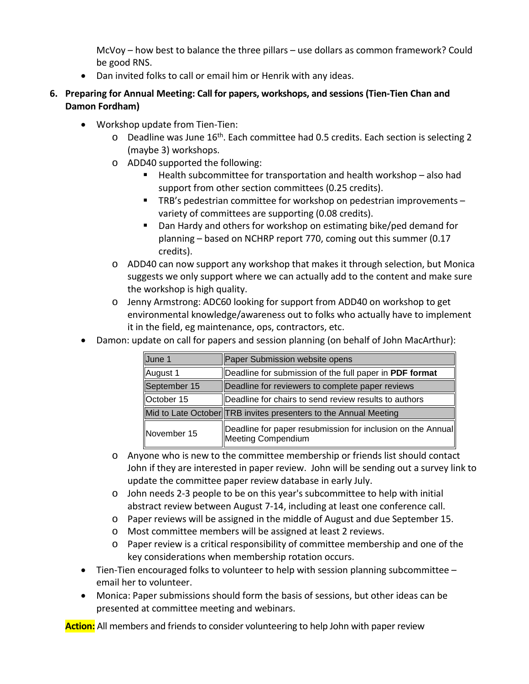McVoy – how best to balance the three pillars – use dollars as common framework? Could be good RNS.

- Dan invited folks to call or email him or Henrik with any ideas.
- **6. Preparing for Annual Meeting: Call for papers, workshops, and sessions (Tien-Tien Chan and Damon Fordham)**
	- Workshop update from Tien-Tien:
		- $\circ$  Deadline was June 16<sup>th</sup>. Each committee had 0.5 credits. Each section is selecting 2 (maybe 3) workshops.
		- o ADD40 supported the following:
			- $\blacksquare$  Health subcommittee for transportation and health workshop also had support from other section committees (0.25 credits).
			- TRB's pedestrian committee for workshop on pedestrian improvements variety of committees are supporting (0.08 credits).
			- Dan Hardy and others for workshop on estimating bike/ped demand for planning – based on NCHRP report 770, coming out this summer (0.17 credits).
		- o ADD40 can now support any workshop that makes it through selection, but Monica suggests we only support where we can actually add to the content and make sure the workshop is high quality.
		- o Jenny Armstrong: ADC60 looking for support from ADD40 on workshop to get environmental knowledge/awareness out to folks who actually have to implement it in the field, eg maintenance, ops, contractors, etc.
	- Damon: update on call for papers and session planning (on behalf of John MacArthur):

| June 1            | Paper Submission website opens                                                    |
|-------------------|-----------------------------------------------------------------------------------|
| August 1          | Deadline for submission of the full paper in PDF format                           |
| September 15      | Deadline for reviewers to complete paper reviews                                  |
| <b>October 15</b> | Deadline for chairs to send review results to authors                             |
|                   | Mid to Late October TRB invites presenters to the Annual Meeting                  |
| November 15       | Deadline for paper resubmission for inclusion on the Annual<br>Meeting Compendium |

- o Anyone who is new to the committee membership or friends list should contact John if they are interested in paper review. John will be sending out a survey link to update the committee paper review database in early July.
- o John needs 2-3 people to be on this year's subcommittee to help with initial abstract review between August 7-14, including at least one conference call.
- o Paper reviews will be assigned in the middle of August and due September 15.
- o Most committee members will be assigned at least 2 reviews.
- o Paper review is a critical responsibility of committee membership and one of the key considerations when membership rotation occurs.
- Tien-Tien encouraged folks to volunteer to help with session planning subcommittee email her to volunteer.
- Monica: Paper submissions should form the basis of sessions, but other ideas can be presented at committee meeting and webinars.

**Action:** All members and friends to consider volunteering to help John with paper review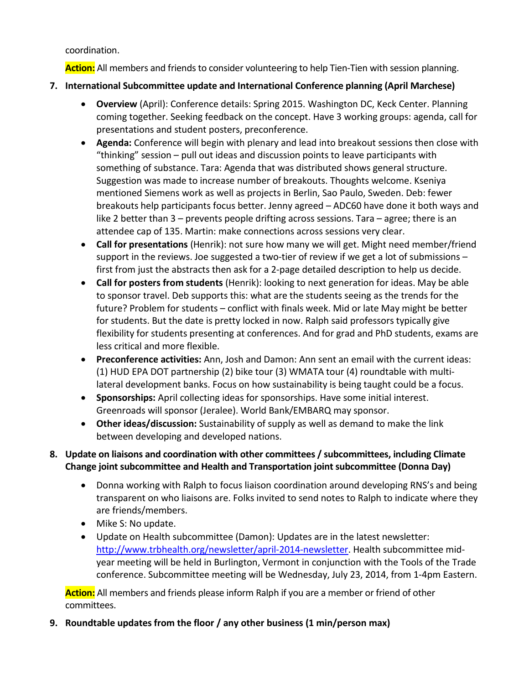coordination.

**Action:** All members and friends to consider volunteering to help Tien-Tien with session planning.

- **7. International Subcommittee update and International Conference planning (April Marchese)**
	- **Overview** (April): Conference details: Spring 2015. Washington DC, Keck Center. Planning coming together. Seeking feedback on the concept. Have 3 working groups: agenda, call for presentations and student posters, preconference.
	- **Agenda:** Conference will begin with plenary and lead into breakout sessions then close with "thinking" session – pull out ideas and discussion points to leave participants with something of substance. Tara: Agenda that was distributed shows general structure. Suggestion was made to increase number of breakouts. Thoughts welcome. Kseniya mentioned Siemens work as well as projects in Berlin, Sao Paulo, Sweden. Deb: fewer breakouts help participants focus better. Jenny agreed – ADC60 have done it both ways and like 2 better than 3 – prevents people drifting across sessions. Tara – agree; there is an attendee cap of 135. Martin: make connections across sessions very clear.
	- **Call for presentations** (Henrik): not sure how many we will get. Might need member/friend support in the reviews. Joe suggested a two-tier of review if we get a lot of submissions – first from just the abstracts then ask for a 2-page detailed description to help us decide.
	- **Call for posters from students** (Henrik): looking to next generation for ideas. May be able to sponsor travel. Deb supports this: what are the students seeing as the trends for the future? Problem for students – conflict with finals week. Mid or late May might be better for students. But the date is pretty locked in now. Ralph said professors typically give flexibility for students presenting at conferences. And for grad and PhD students, exams are less critical and more flexible.
	- **Preconference activities:** Ann, Josh and Damon: Ann sent an email with the current ideas: (1) HUD EPA DOT partnership (2) bike tour (3) WMATA tour (4) roundtable with multilateral development banks. Focus on how sustainability is being taught could be a focus.
	- **Sponsorships:** April collecting ideas for sponsorships. Have some initial interest. Greenroads will sponsor (Jeralee). World Bank/EMBARQ may sponsor.
	- **Other ideas/discussion:** Sustainability of supply as well as demand to make the link between developing and developed nations.

# **8. Update on liaisons and coordination with other committees / subcommittees, including Climate Change joint subcommittee and Health and Transportation joint subcommittee (Donna Day)**

- Donna working with Ralph to focus liaison coordination around developing RNS's and being transparent on who liaisons are. Folks invited to send notes to Ralph to indicate where they are friends/members.
- Mike S: No update.
- Update on Health subcommittee (Damon): Updates are in the latest newsletter: http://www.trbhealth.org/newsletter/april-2014-newsletter</u>. Health subcommittee midyear meeting will be held in Burlington, Vermont in conjunction with the Tools of the Trade conference. Subcommittee meeting will be Wednesday, July 23, 2014, from 1-4pm Eastern.

**Action:** All members and friends please inform Ralph if you are a member or friend of other committees.

**9. Roundtable updates from the floor / any other business (1 min/person max)**